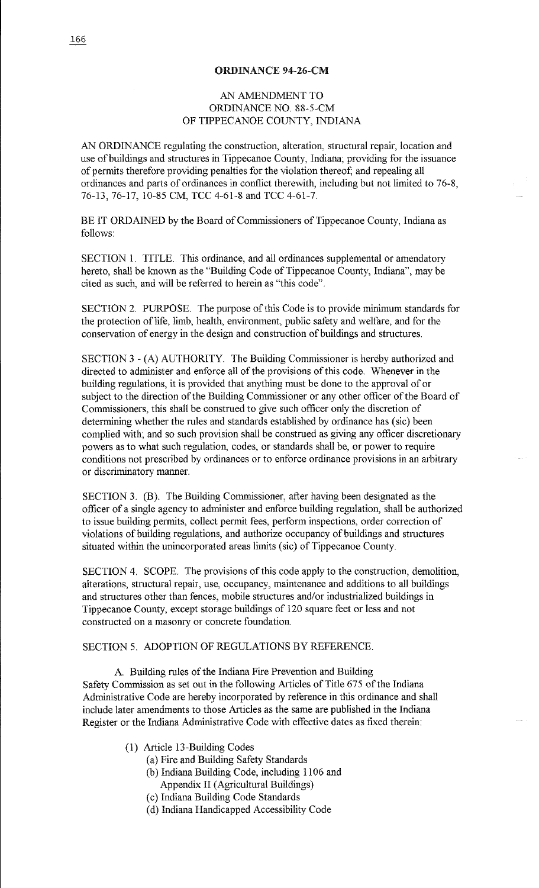## ORDINANCE 94-26-CM

## AN AMENDMENT TO ORDINANCE NO. 88-5-CM OF TIPPECANOE COUNTY, INDIANA

AN ORDINANCE regulating the construction, alteration, structural repair, location and use of buildings and structures in Tippecanoe County, Indiana; providing for the issuance of permits therefore providing penalties for the violation thereof; and repealing all ordinances and parts of ordinances in conflict therewith, including but not limited to 76-8, 76-13, 76-17, 10-85 CM, TCC 4-61-8 and TCC 4-61-7.

BE IT ORDAINED by the Board of Commissioners of Tippecanoe County, Indiana as follows:

SECTION 1. TITLE. This ordinance, and all ordinances supplemental or amendatory hereto, shall be known as the "Building Code of Tippecanoe County, Indiana", may be cited as such, and will be referred to herein as "this code".

SECTION 2. PURPOSE. The purpose of this Code is to provide minimum standards for the protection of life, limb, health, environment, public safety and welfare, and for the conservation of energy in the design and construction of buildings and structures.

SECTION 3 - (A) AUTHORITY. The Building Commissioner is hereby authorized and directed to administer and enforce all of the provisions of this code. Whenever in the building regulations, it is provided that anything must be done to the approval of or subject to the direction of the Building Commissioner or any other officer of the Board of Commissioners, this shall be construed to give such officer only the discretion of determining whether the rules and standards established by ordinance has (sic) been complied with; and so such provision shall be construed as giving any officer discretionary powers as to what such regulation, codes, or standards shall be, or power to require conditions not prescribed by ordinances or to enforce ordinance provisions in an arbitrary or discriminatory manner.

SECTION 3. (B). The Building Commissioner, after having been designated as the officer of a single agency to administer and enforce building regulation, shall be authorized to issue building permits, collect permit fees, perform inspections, order correction of violations of building regulations, and authorize occupancy of buildings and structures situated within the unincorporated areas limits (sic) of Tippecanoe County.

SECTION 4. SCOPE. The provisions of this code apply to the construction, demolition, alterations, structural repair, use, occupancy, maintenance and additions to all buildings and structures other than fences, mobile structures and/or industrialized buildings in Tippecanoe County, except storage buildings of 120 square feet or less and not constructed on a masonry or concrete foundation.

## SECTION 5. ADOPTION OF REGULATIONS BY REFERENCE.

A. Building rules of the Indiana Fire Prevention and Building Safety Commission as set out in the following Articles of Title 675 of the Indiana Administrative Code are hereby incorporated by reference in this ordinance and shall include later amendments to those Articles as the same are published in the Indiana Register or the Indiana Administrative Code with effective dates as fixed therein:

- (1) Article 13-Building Codes
	- (a) Fire and Building Safety Standards
	- (b) Indiana Building Code, including 1106 and Appendix II (Agricultural Buildings)
	- ( c) Indiana Building Code Standards
	- ( d) Indiana Handicapped Accessibility Code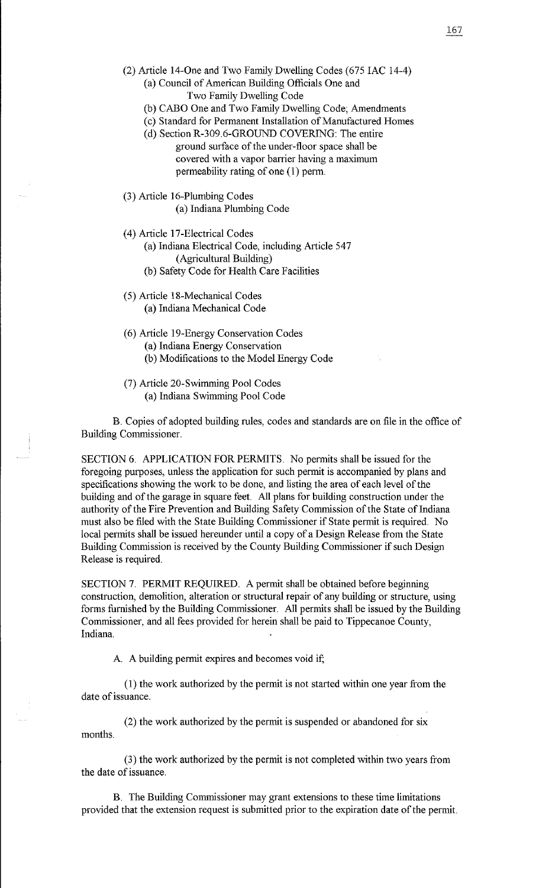- (2) Article 14-0ne and Two Family Dwelling Codes (675 IAC 14-4)
	- (a) Council of American Building Officials One and Two Family Dwelling Code
	- (b) CABO One and Two Family Dwelling Code; Amendments
	- (c) Standard for Permanent Installation of Manufactured Homes
	- (d) Section R-309.6-GROUND COVERING: The entire ground surface of the under-floor space shall be covered with a vapor barrier having a maximum permeability rating of one  $(1)$  perm.
- (3) Article 16-Plumbing Codes (a) Indiana Plumbing Code
	-
- ( 4) Article 17-Electrical Codes
	- (a) Indiana Electrical Code, including Article 547
		- (Agricultural Building)
	- (b) Safety Code for Health Care Facilities
- (5) Article 18-Mechanical Codes (a) Indiana Mechanical Code
- (6) Article 19-Energy Conservation Codes
	- (a) Indiana Energy Conservation
	- (b) Modifications to the Model Energy Code
- (7) Article 20-Swimming Pool Codes (a) Indiana Swimming Pool Code

B. Copies of adopted building rules, codes and standards are on file in the office of Building Commissioner.

SECTION 6. APPLICATION FOR PERMITS. No permits shall be issued for the foregoing purposes, unless the application for such permit is accompanied by plans and specifications showing the work to be done, and listing the area of each level of the building and of the garage in square feet. All plans for building construction under the authority of the Fire Prevention and Building Safety Commission of the State of Indiana must also be filed with the State Building Commissioner if State permit is required. No local permits shall be issued hereunder until a copy of a Design Release from the State Building Commission is received by the County Building Commissioner if such Design Release is required.

SECTION 7. PERMIT REQUIRED. A permit shall be obtained before beginning construction, demolition, alteration or structural repair of any building or structure, using forms furnished by the Building Commissioner. All permits shall be issued by the Building Commissioner, and all fees provided for herein shall be paid to Tippecanoe County, Indiana.

A. A building permit expires and becomes void if;

(1) the work authorized by the permit is not started within one year from the date of issuance.

(2) the work authorized by the permit is suspended or abandoned for six months.

(3) the work authorized by the permit is not completed within two years from the date of issuance.

B. The Building Commissioner may grant extensions to these time limitations provided that the extension request is submitted prior to the expiration date of the permit.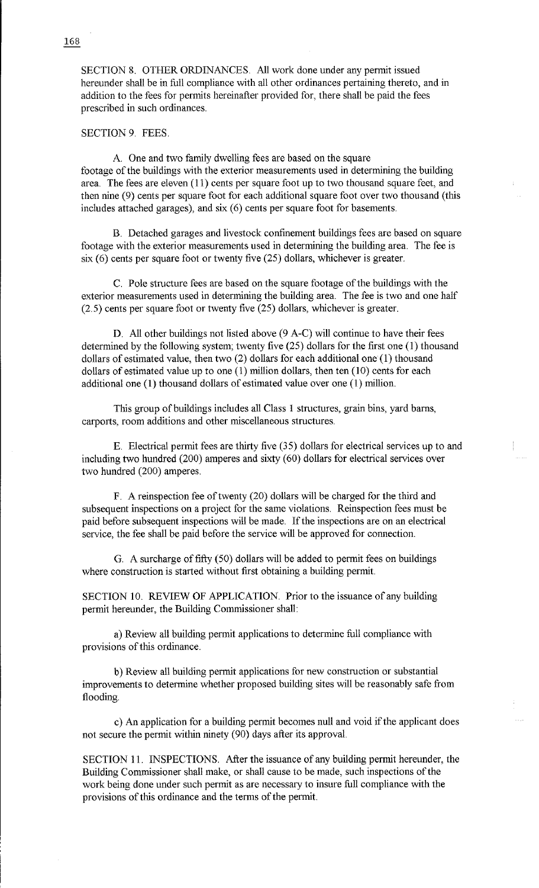SECTION 8. OTHER ORDINANCES. *All* work done under any permit issued hereunder shall be in full compliance with all other ordinances pertaining thereto, and in addition to the fees for permits hereinafter provided for, there shall be paid the fees prescribed in such ordinances.

SECTION 9. FEES.

A. One and two family dwelling fees are based on the square footage of the buildings with the exterior measurements used in determining the building area. The fees are eleven (11) cents per square foot up to two thousand square feet, and then nine (9) cents per square foot for each additional square foot over two thousand (this includes attached garages), and  $s$ ix  $(6)$  cents per square foot for basements.

B. Detached garages and livestock confinement buildings fees are based on square footage with the exterior measurements used in determining the building area. The fee is six  $(6)$  cents per square foot or twenty five  $(25)$  dollars, whichever is greater.

C. Pole structure fees are based on the square footage of the buildings with the exterior measurements used in determining the building area. The fee is two and one half (2.5) cents per square foot or twenty five (25) dollars, whichever is greater.

D. *All* other buildings not listed above (9 A-C) will continue to have their fees determined by the following system; twenty five (25) dollars for the first one (1) thousand dollars of estimated value, then two (2) dollars for each additional one (1) thousand dollars of estimated value up to one (1) million dollars, then ten (10) cents for each additional one (1) thousand dollars of estimated value over one (1) million.

This group of buildings includes all Class 1 structures, grain bins, yard barns, carports, room additions and other miscellaneous structures.

E. Electrical permit fees are thirty five (35) dollars for electrical services up to and including two hundred (200) amperes and sixty (60) dollars for electrical services over two hundred (200) amperes.

F. A reinspection fee of twenty (20) dollars will be charged for the third and subsequent inspections on a project for the same violations. Reinspection fees must be paid before subsequent inspections will be made. If the inspections are on an electrical service, the fee shall be paid before the service will be approved for connection.

G. A surcharge of fifty (50) dollars will be added to permit fees on buildings where construction is started without first obtaining a building permit.

SECTION 10. REVIEW OF APPLICATION. Prior to the issuance of any building permit hereunder, the Building Commissioner shall:

a) Review all building pennit applications to determine full compliance with provisions of this ordinance.

b) Review all building permit applications for new construction or substantial improvements to determine whether proposed building sites will be reasonably safe from flooding.

c) An application for a building permit becomes null and void if the applicant does not secure the permit within ninety (90) days after its approval.

SECTION 11. INSPECTIONS. After the issuance of any building permit hereunder, the Building Commissioner shall make, or shall cause to be made, such inspections of the work being done under such permit as are necessary to insure full compliance with the provisions ofthis ordinance and the terms of the permit.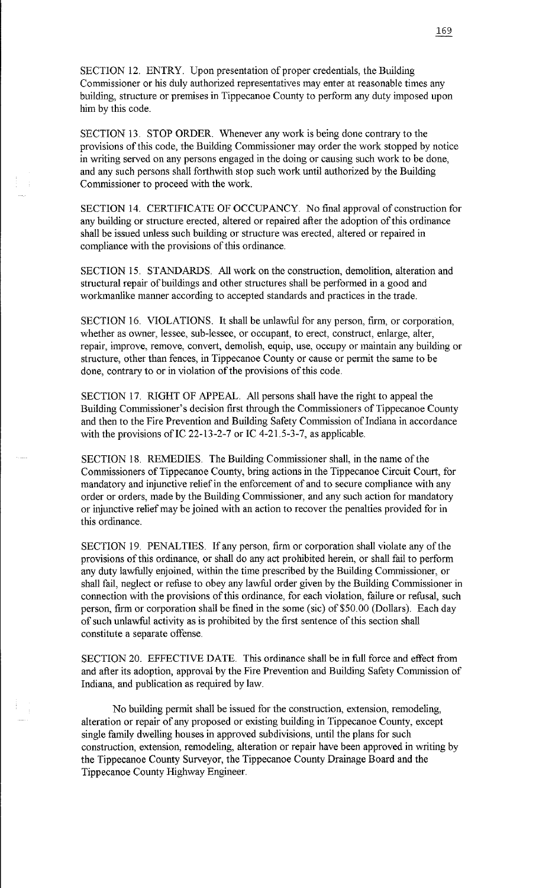SECTION 12. ENTRY. Upon presentation of proper credentials, the Building Commissioner or his duly authorized representatives may enter at reasonable times any building, structure or premises in Tippecanoe County to perform any duty imposed upon him by this code.

SECTION 13. STOP ORDER. Whenever any work is being done contrary to the provisions ofthis code, the Building Commissioner may order the work stopped by notice in writing served on any persons engaged in the doing or causing such work to be done, and any such persons shall forthwith stop such work until authorized by the Building Commissioner to proceed with the work.

SECTION 14. CERTIFICATE OF OCCUPANCY. No final approval of construction for any building or structure erected, altered or repaired after the adoption of this ordinance shall be issued unless such building or structure was erected, altered or repaired in compliance with the provisions of this ordinance.

SECTION 15. STANDARDS. All work on the construction, demolition, alteration and structural repair of buildings and other structures shall be performed in a good and workmanlike manner according to accepted standards and practices in the trade.

SECTION 16. VIOLATIONS. It shall be unlawful for any person, firm, or corporation, whether as owner, lessee, sub-lessee, or occupant, to erect, construct, enlarge, alter, repair, improve, remove, convert, demolish, equip, use, occupy or maintain any building or structure, other than fences, in Tippecanoe County or cause or permit the same to be done, contrary to or in violation of the provisions of this code.

SECTION 17. RIGHT OF APPEAL. All persons shall have the right to appeal the Building Commissioner's decision first through the Commissioners of Tippecanoe County and then to the Fire Prevention and Building Safety Commission of Indiana in accordance with the provisions of IC 22-13-2-7 or IC 4-21.5-3-7, as applicable.

SECTION 18. REMEDIES. The Building Commissioner shall, in the name of the Commissioners of Tippecanoe County, bring actions in the Tippecanoe Circuit Court, for mandatory and injunctive relief in the enforcement of and to secure compliance with any order or orders, made by the Building Commissioner, and any such action for mandatory or injunctive relief may be joined with an action to recover the penalties provided for in this ordinance.

SECTION 19. PENALTIES. If any person, firm or corporation shall violate any of the provisions of this ordinance, or shall do any act prohibited herein, or shall fail to perform any duty lawfully enjoined, within the time prescribed by the Building Commissioner, or shall fail, neglect or refuse to obey any lawful order given by the Building Commissioner in connection with the provisions of this ordinance, for each violation, failure or refusal, such person, firm or corporation shall be fined in the some (sic) of \$50.00 (Dollars). Each day of such unlawful activity as is prohibited by the first sentence of this section shall constitute a separate offense.

SECTION 20. EFFECTIVE DATE. This ordinance shall be in full force and effect from and after its adoption, approval by the Fire Prevention and Building Safety Commission of Indiana, and publication as required by law.

No building permit shall be issued for the construction, extension, remodeling, alteration or repair of any proposed or existing building in Tippecanoe County, except single family dwelling houses in approved subdivisions, until the plans for such construction, extension, remodeling, alteration or repair have been approved in writing by the Tippecanoe County Surveyor, the Tippecanoe County Drainage Board and the Tippecanoe County Highway Engineer.